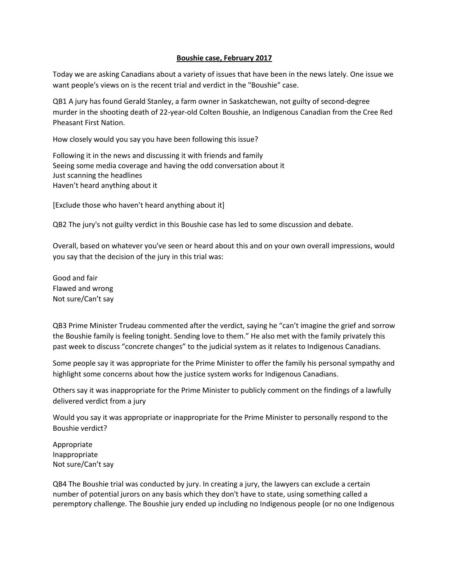## **Boushie case, February 2017**

Today we are asking Canadians about a variety of issues that have been in the news lately. One issue we want people's views on is the recent trial and verdict in the "Boushie" case.

QB1 A jury has found Gerald Stanley, a farm owner in Saskatchewan, not guilty of second-degree murder in the shooting death of 22-year-old Colten Boushie, an Indigenous Canadian from the Cree Red Pheasant First Nation.

How closely would you say you have been following this issue?

Following it in the news and discussing it with friends and family Seeing some media coverage and having the odd conversation about it Just scanning the headlines Haven't heard anything about it

[Exclude those who haven't heard anything about it]

QB2 The jury's not guilty verdict in this Boushie case has led to some discussion and debate.

Overall, based on whatever you've seen or heard about this and on your own overall impressions, would you say that the decision of the jury in this trial was:

Good and fair Flawed and wrong Not sure/Can't say

QB3 Prime Minister Trudeau commented after the verdict, saying he "can't imagine the grief and sorrow the Boushie family is feeling tonight. Sending love to them." He also met with the family privately this past week to discuss "concrete changes" to the judicial system as it relates to Indigenous Canadians.

Some people say it was appropriate for the Prime Minister to offer the family his personal sympathy and highlight some concerns about how the justice system works for Indigenous Canadians.

Others say it was inappropriate for the Prime Minister to publicly comment on the findings of a lawfully delivered verdict from a jury

Would you say it was appropriate or inappropriate for the Prime Minister to personally respond to the Boushie verdict?

Appropriate Inappropriate Not sure/Can't say

QB4 The Boushie trial was conducted by jury. In creating a jury, the lawyers can exclude a certain number of potential jurors on any basis which they don't have to state, using something called a peremptory challenge. The Boushie jury ended up including no Indigenous people (or no one Indigenous